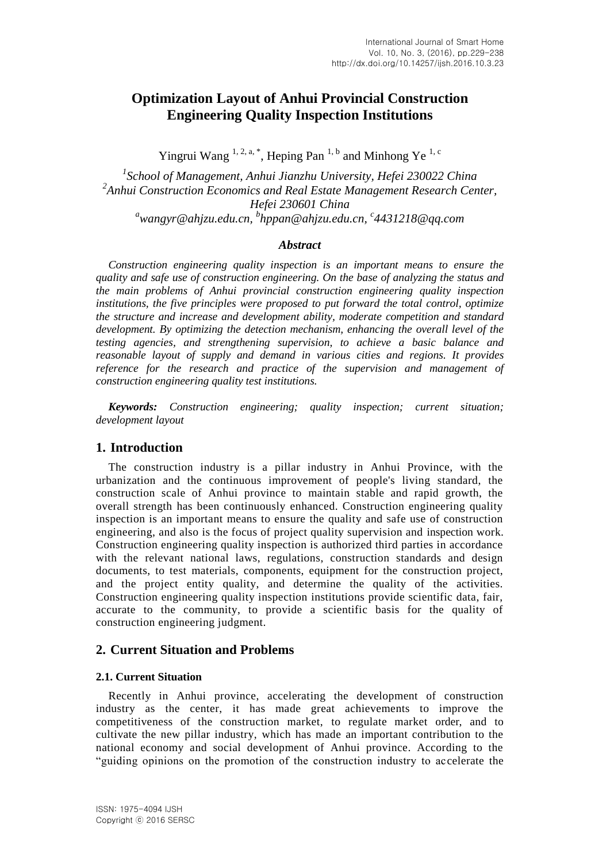# **Optimization Layout of Anhui Provincial Construction Engineering Quality Inspection Institutions**

Yingrui Wang <sup>1, 2, a, \*</sup>, Heping Pan<sup>1, b</sup> and Minhong Ye<sup>1, c</sup>

*1 School of Management, Anhui Jianzhu University, Hefei 230022 China 2 Anhui Construction Economics and Real Estate Management Research Center, Hefei 230601 China <sup>a</sup>wangyr@ahjzu.edu.cn, <sup>b</sup> hppan@ahjzu.edu.cn, <sup>c</sup> 4431218@qq.com*

#### *Abstract*

*Construction engineering quality inspection is an important means to ensure the quality and safe use of construction engineering. On the base of analyzing the status and the main problems of Anhui provincial construction engineering quality inspection institutions, the five principles were proposed to put forward the total control, optimize the structure and increase and development ability, moderate competition and standard development. By optimizing the detection mechanism, enhancing the overall level of the testing agencies, and strengthening supervision, to achieve a basic balance and reasonable layout of supply and demand in various cities and regions. It provides reference for the research and practice of the supervision and management of construction engineering quality test institutions.*

*Keywords: Construction engineering; quality inspection; current situation; development layout*

# **1. Introduction**

The construction industry is a pillar industry in Anhui Province, with the urbanization and the continuous improvement of people's living standard, the construction scale of Anhui province to maintain stable and rapid growth, the overall strength has been continuously enhanced. Construction engineering quality inspection is an important means to ensure the quality and safe use of construction engineering, and also is the focus of project quality supervision and inspection work. Construction engineering quality inspection is authorized third parties in accordance with the relevant national laws, regulations, construction standards and design documents, to test materials, components, equipment for the construction project, and the project entity quality, and determine the quality of the activities. Construction engineering quality inspection institutions provide scientific data, fair, accurate to the community, to provide a scientific basis for the quality of construction engineering judgment.

#### **2. Current Situation and Problems**

#### **2.1. Current Situation**

Recently in Anhui province, accelerating the development of construction industry as the center, it has made great achievements to improve the competitiveness of the construction market, to regulate market order, and to cultivate the new pillar industry, which has made an important contribution to the national economy and social development of Anhui province. According to the "guiding opinions on the promotion of the construction industry to accelerate the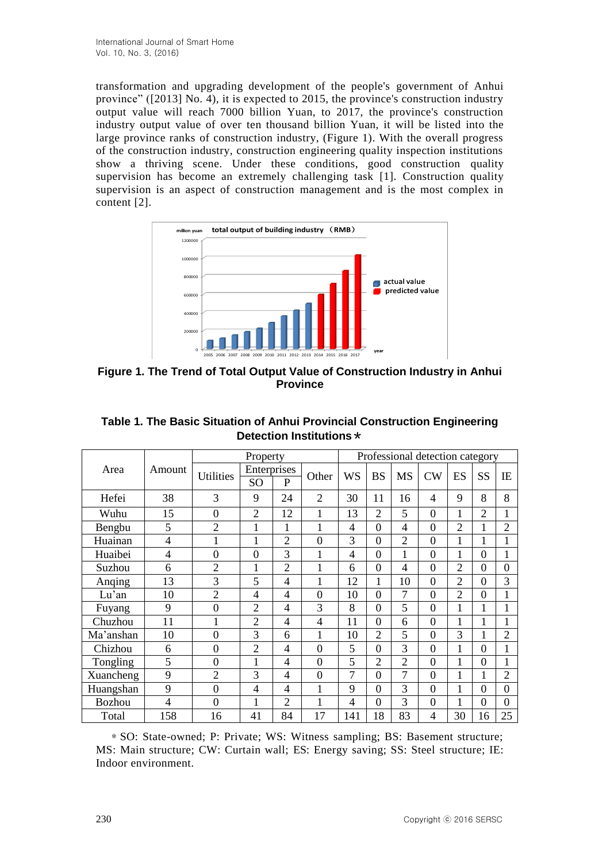transformation and upgrading development of the people's government of Anhui province" ([2013] No. 4), it is expected to 2015, the province's construction industry output value will reach 7000 billion Yuan, to 2017, the province's construction industry output value of over ten thousand billion Yuan, it will be listed into the large province ranks of construction industry, (Figure 1). With the overall progress of the construction industry, construction engineering quality inspection institutions show a thriving scene. Under these conditions, good construction quality supervision has become an extremely challenging task [1]. Construction quality supervision is an aspect of construction management and is the most complex in content [2].



**Figure 1. The Trend of Total Output Value of Construction Industry in Anhui Province**

|           | Amount | Property         |                |                |                | Professional detection category |                |                |                |                |                |                |  |
|-----------|--------|------------------|----------------|----------------|----------------|---------------------------------|----------------|----------------|----------------|----------------|----------------|----------------|--|
| Area      |        | <b>Utilities</b> | Enterprises    |                | Other          | <b>WS</b>                       | <b>BS</b>      | <b>MS</b>      | CW             |                | SS             | IE             |  |
|           |        |                  | SO             | P              |                |                                 |                |                |                | ES             |                |                |  |
| Hefei     | 38     | 3                | 9              | 24             | $\overline{2}$ | 30                              | 11             | 16             | 4              | 9              | 8              | 8              |  |
| Wuhu      | 15     | $\overline{0}$   | $\overline{2}$ | 12             | 1              | 13                              | 2              | 5              | $\overline{0}$ | 1              | $\overline{2}$ | 1              |  |
| Bengbu    | 5      | $\overline{2}$   | 1              | 1              | 1              | 4                               | $\overline{0}$ | 4              | $\overline{0}$ | $\overline{2}$ | $\mathbf{1}$   | $\overline{2}$ |  |
| Huainan   | 4      | $\mathbf{1}$     | $\mathbf 1$    | $\overline{2}$ | $\overline{0}$ | 3                               | $\overline{0}$ | $\overline{2}$ | $\overline{0}$ | 1              | 1              | 1              |  |
| Huaibei   | 4      | $\mathbf{0}$     | $\overline{0}$ | 3              | $\mathbf{1}$   | 4                               | $\overline{0}$ | 1              | $\overline{0}$ | 1              | $\overline{0}$ | $\mathbf{1}$   |  |
| Suzhou    | 6      | $\overline{2}$   | 1              | $\overline{2}$ | $\mathbf{1}$   | 6                               | $\overline{0}$ | 4              | $\overline{0}$ | $\overline{2}$ | $\overline{0}$ | $\overline{0}$ |  |
| Anging    | 13     | 3                | 5              | $\overline{4}$ | $\mathbf{1}$   | 12                              | 1              | 10             | $\overline{0}$ | $\overline{2}$ | $\overline{0}$ | 3              |  |
| Lu'an     | 10     | $\overline{2}$   | $\overline{4}$ | 4              | $\overline{0}$ | 10                              | $\Omega$       | 7              | $\overline{0}$ | $\overline{2}$ | $\theta$       | 1              |  |
| Fuyang    | 9      | $\mathbf{0}$     | $\overline{2}$ | $\overline{4}$ | 3              | 8                               | $\overline{0}$ | 5              | $\overline{0}$ | 1              | 1              | 1              |  |
| Chuzhou   | 11     |                  | $\overline{2}$ | $\overline{4}$ | 4              | 11                              | $\overline{0}$ | 6              | $\overline{0}$ | 1              | 1              | 1              |  |
| Ma'anshan | 10     | $\overline{0}$   | 3              | 6              | 1              | 10                              | $\overline{2}$ | 5              | $\overline{0}$ | 3              |                | 2              |  |
| Chizhou   | 6      | $\overline{0}$   | $\overline{2}$ | $\overline{4}$ | $\overline{0}$ | 5                               | $\overline{0}$ | 3              | $\overline{0}$ | 1              | $\theta$       | 1              |  |
| Tongling  | 5      | $\overline{0}$   | $\mathbf{1}$   | $\overline{4}$ | $\overline{0}$ | 5                               | 2              | $\overline{2}$ | $\overline{0}$ | 1              | $\theta$       | 1              |  |
| Xuancheng | 9      | $\overline{2}$   | 3              | $\overline{4}$ | $\overline{0}$ | 7                               | $\Omega$       | 7              | $\overline{0}$ | 1              | 1              | $\overline{2}$ |  |
| Huangshan | 9      | $\overline{0}$   | $\overline{4}$ | $\overline{4}$ | $\mathbf{1}$   | 9                               | $\overline{0}$ | 3              | $\overline{0}$ | 1              | $\overline{0}$ | $\overline{0}$ |  |
| Bozhou    | 4      | $\overline{0}$   |                | $\overline{2}$ | $\mathbf{1}$   | 4                               | $\overline{0}$ | 3              | $\overline{0}$ | 1              | $\overline{0}$ | $\overline{0}$ |  |
| Total     | 158    | 16               | 41             | 84             | 17             | 141                             | 18             | 83             | $\overline{4}$ | 30             | 16             | 25             |  |

**Table 1. The Basic Situation of Anhui Provincial Construction Engineering Detection Institutions**\*

\*SO: State-owned; P: Private; WS: Witness sampling; BS: Basement structure; MS: Main structure; CW: Curtain wall; ES: Energy saving; SS: Steel structure; IE: Indoor environment.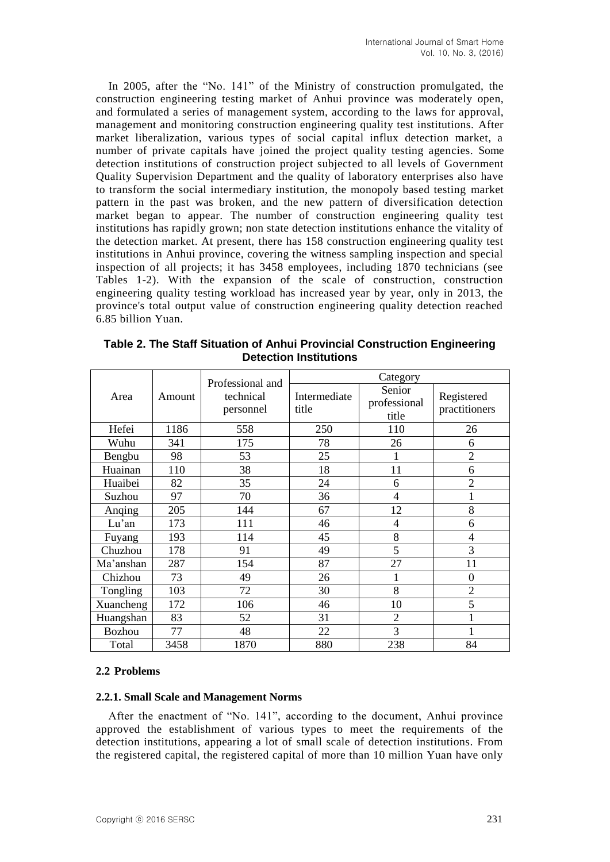In 2005, after the "No. 141" of the Ministry of construction promulgated, the construction engineering testing market of Anhui province was moderately open, and formulated a series of management system, according to the laws for approval, management and monitoring construction engineering quality test institutions. After market liberalization, various types of social capital influx detection market, a number of private capitals have joined the project quality testing agencies. Some detection institutions of construction project subjected to all levels of Government Quality Supervision Department and the quality of laboratory enterprises also have to transform the social intermediary institution, the monopoly based testing market pattern in the past was broken, and the new pattern of diversification detection market began to appear. The number of construction engineering quality test institutions has rapidly grown; non state detection institutions enhance the vitality of the detection market. At present, there has 158 construction engineering quality test institutions in Anhui province, covering the witness sampling inspection and special inspection of all projects; it has 3458 employees, including 1870 technicians (see Tables 1-2). With the expansion of the scale of construction, construction engineering quality testing workload has increased year by year, only in 2013, the province's total output value of construction engineering quality detection reached 6.85 billion Yuan.

| Area          |        |                                            | Category              |                                 |                             |  |  |  |  |
|---------------|--------|--------------------------------------------|-----------------------|---------------------------------|-----------------------------|--|--|--|--|
|               | Amount | Professional and<br>technical<br>personnel | Intermediate<br>title | Senior<br>professional<br>title | Registered<br>practitioners |  |  |  |  |
| Hefei         | 1186   | 558                                        | 250                   | 110                             | 26                          |  |  |  |  |
| Wuhu          | 341    | 175                                        | 78                    | 26                              | 6                           |  |  |  |  |
| Bengbu        | 98     | 53                                         | 25                    | 1                               | $\overline{2}$              |  |  |  |  |
| Huainan       | 110    | 38                                         | 18                    | 11                              | 6                           |  |  |  |  |
| Huaibei       | 82     | 35                                         | 24                    | 6                               | $\overline{2}$              |  |  |  |  |
| Suzhou        | 97     | 70                                         | 36                    | 4                               |                             |  |  |  |  |
| Anging        | 205    | 144                                        | 67                    | 12                              | 8                           |  |  |  |  |
| Lu'an         | 173    | 111                                        | 46                    | 4                               | 6                           |  |  |  |  |
| Fuyang        | 193    | 114                                        | 45                    | 8                               | 4                           |  |  |  |  |
| Chuzhou       | 178    | 91                                         | 49                    | 5                               | 3                           |  |  |  |  |
| Ma'anshan     | 287    | 154                                        | 87                    | 27                              | 11                          |  |  |  |  |
| Chizhou       | 73     | 49                                         | 26                    | 1                               | $\boldsymbol{0}$            |  |  |  |  |
| Tongling      | 103    | 72                                         | 30                    | 8                               | $\overline{2}$              |  |  |  |  |
| Xuancheng     | 172    | 106                                        | 46                    | 10                              | 5                           |  |  |  |  |
| Huangshan     | 83     | 52                                         | 31                    | $\overline{2}$                  |                             |  |  |  |  |
| <b>Bozhou</b> | 77     | 48                                         | 22                    | 3                               |                             |  |  |  |  |
| Total         | 3458   | 1870                                       | 880                   | 238                             | 84                          |  |  |  |  |

**Table 2. The Staff Situation of Anhui Provincial Construction Engineering Detection Institutions**

#### **2.2 Problems**

#### **2.2.1. Small Scale and Management Norms**

After the enactment of "No. 141", according to the document, Anhui province approved the establishment of various types to meet the requirements of the detection institutions, appearing a lot of small scale of detection institutions. From the registered capital, the registered capital of more than 10 million Yuan have only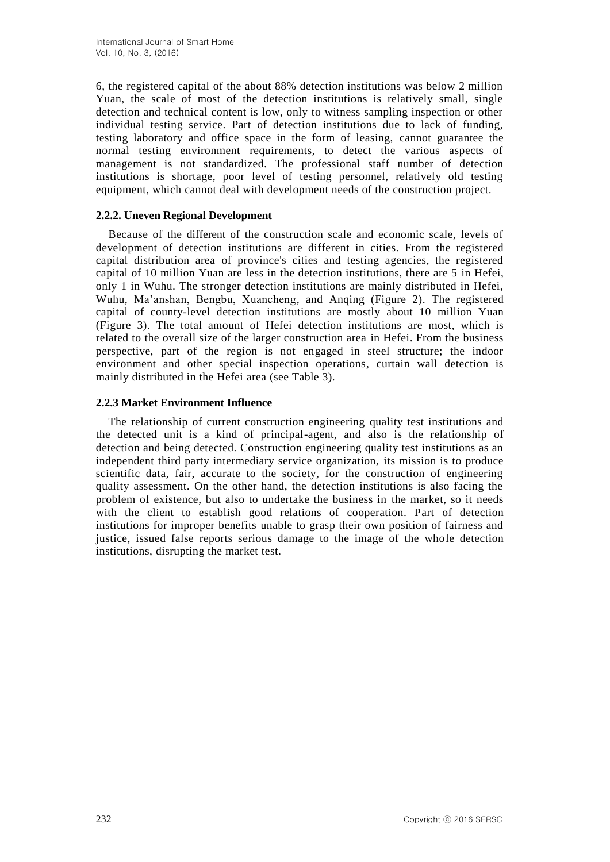6, the registered capital of the about 88% detection institutions was below 2 million Yuan, the scale of most of the detection institutions is relatively small, single detection and technical content is low, only to witness sampling inspection or other individual testing service. Part of detection institutions due to lack of funding, testing laboratory and office space in the form of leasing, cannot guarantee the normal testing environment requirements, to detect the various aspects of management is not standardized. The professional staff number of detection institutions is shortage, poor level of testing personnel, relatively old testing equipment, which cannot deal with development needs of the construction project.

## **2.2.2. Uneven Regional Development**

Because of the different of the construction scale and economic scale, levels of development of detection institutions are different in cities. From the registered capital distribution area of province's cities and testing agencies, the registered capital of 10 million Yuan are less in the detection institutions, there are 5 in Hefei, only 1 in Wuhu. The stronger detection institutions are mainly distributed in Hefei, Wuhu, Ma'anshan, Bengbu, Xuancheng, and Anqing (Figure 2). The registered capital of county-level detection institutions are mostly about 10 million Yuan (Figure 3). The total amount of Hefei detection institutions are most, which is related to the overall size of the larger construction area in Hefei. From the business perspective, part of the region is not engaged in steel structure; the indoor environment and other special inspection operations, curtain wall detection is mainly distributed in the Hefei area (see Table 3).

## **2.2.3 Market Environment Influence**

The relationship of current construction engineering quality test institutions and the detected unit is a kind of principal-agent, and also is the relationship of detection and being detected. Construction engineering quality test institutions as an independent third party intermediary service organization, its mission is to produce scientific data, fair, accurate to the society, for the construction of engineering quality assessment. On the other hand, the detection institutions is also facing the problem of existence, but also to undertake the business in the market, so it needs with the client to establish good relations of cooperation. Part of detection institutions for improper benefits unable to grasp their own position of fairness and justice, issued false reports serious damage to the image of the whole detection institutions, disrupting the market test.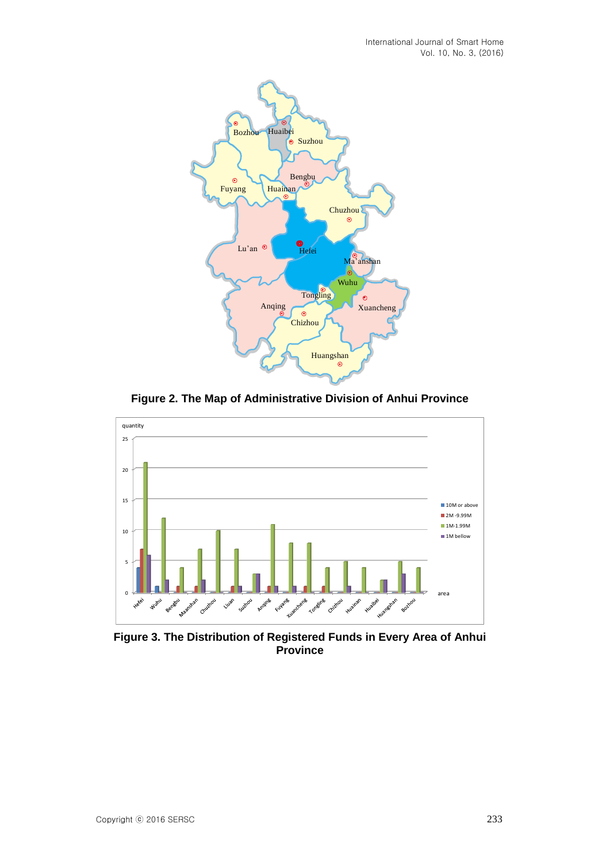

**Figure 2. The Map of Administrative Division of Anhui Province**



**Figure 3. The Distribution of Registered Funds in Every Area of Anhui Province**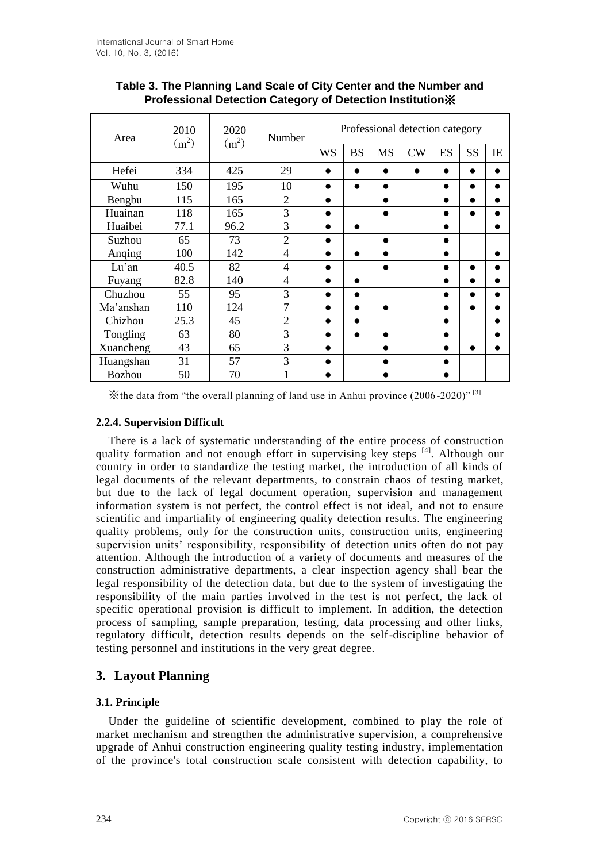| Area      | 2010<br>(m <sup>2</sup> ) | 2020<br>(m <sup>2</sup> ) | Number                   | Professional detection category |           |           |    |           |           |           |  |
|-----------|---------------------------|---------------------------|--------------------------|---------------------------------|-----------|-----------|----|-----------|-----------|-----------|--|
|           |                           |                           |                          | <b>WS</b>                       | <b>BS</b> | <b>MS</b> | CW | ES        | <b>SS</b> | IE        |  |
| Hefei     | 334                       | 425                       | 29                       | ●                               | $\bullet$ | $\bullet$ |    | $\bullet$ |           |           |  |
| Wuhu      | 150                       | 195                       | 10                       | $\bullet$                       | $\bullet$ | $\bullet$ |    | $\bullet$ | $\bullet$ | $\bullet$ |  |
| Bengbu    | 115                       | 165                       | $\overline{2}$           | $\bullet$                       |           | $\bullet$ |    | ●         | $\bullet$ | $\bullet$ |  |
| Huainan   | 118                       | 165                       | 3                        | $\bullet$                       |           | $\bullet$ |    | $\bullet$ | $\bullet$ | ●         |  |
| Huaibei   | 77.1                      | 96.2                      | 3                        | $\bullet$                       | $\bullet$ |           |    | $\bullet$ |           | $\bullet$ |  |
| Suzhou    | 65                        | 73                        | $\overline{2}$           | ●                               |           | $\bullet$ |    | $\bullet$ |           |           |  |
| Anging    | 100                       | 142                       | $\overline{4}$           | $\bullet$                       | $\bullet$ | $\bullet$ |    |           |           |           |  |
| Lu'an     | 40.5                      | 82                        | $\overline{4}$           | $\bullet$                       |           | $\bullet$ |    | $\bullet$ | $\bullet$ | ●         |  |
| Fuyang    | 82.8                      | 140                       | $\overline{\mathcal{A}}$ | $\bullet$                       | $\bullet$ |           |    |           |           |           |  |
| Chuzhou   | 55                        | 95                        | 3                        | $\bullet$                       | $\bullet$ |           |    | ●         | $\bullet$ | $\bullet$ |  |
| Ma'anshan | 110                       | 124                       | $\overline{7}$           | $\bullet$                       | $\bullet$ | $\bullet$ |    | ●         | $\bullet$ | ●         |  |
| Chizhou   | 25.3                      | 45                        | $\overline{2}$           | $\bullet$                       | $\bullet$ |           |    | $\bullet$ |           | $\bullet$ |  |
| Tongling  | 63                        | 80                        | 3                        | $\bullet$                       | $\bullet$ | $\bullet$ |    | $\bullet$ |           |           |  |
| Xuancheng | 43                        | 65                        | 3                        | $\bullet$                       |           | $\bullet$ |    |           | $\bullet$ |           |  |
| Huangshan | 31                        | 57                        | 3                        | $\bullet$                       |           |           |    |           |           |           |  |
| Bozhou    | 50                        | 70                        |                          |                                 |           |           |    |           |           |           |  |

**Table 3. The Planning Land Scale of City Center and the Number and Professional Detection Category of Detection Institution**※

 $\mathbb{X}$ the data from "the overall planning of land use in Anhui province (2006-2020)" [3]

# **2.2.4. Supervision Difficult**

There is a lack of systematic understanding of the entire process of construction quality formation and not enough effort in supervising key steps [4]. Although our country in order to standardize the testing market, the introduction of all kinds of legal documents of the relevant departments, to constrain chaos of testing market, but due to the lack of legal document operation, supervision and management information system is not perfect, the control effect is not ideal, and not to ensure scientific and impartiality of engineering quality detection results. The engineering quality problems, only for the construction units, construction units, engineering supervision units' responsibility, responsibility of detection units often do not pay attention. Although the introduction of a variety of documents and measures of the construction administrative departments, a clear inspection agency shall bear the legal responsibility of the detection data, but due to the system of investigating the responsibility of the main parties involved in the test is not perfect, the lack of specific operational provision is difficult to implement. In addition, the detection process of sampling, sample preparation, testing, data processing and other links, regulatory difficult, detection results depends on the self-discipline behavior of testing personnel and institutions in the very great degree.

# **3. Layout Planning**

# **3.1. Principle**

Under the guideline of scientific development, combined to play the role of market mechanism and strengthen the administrative supervision, a comprehensive upgrade of Anhui construction engineering quality testing industry, implementation of the province's total construction scale consistent with detection capability, to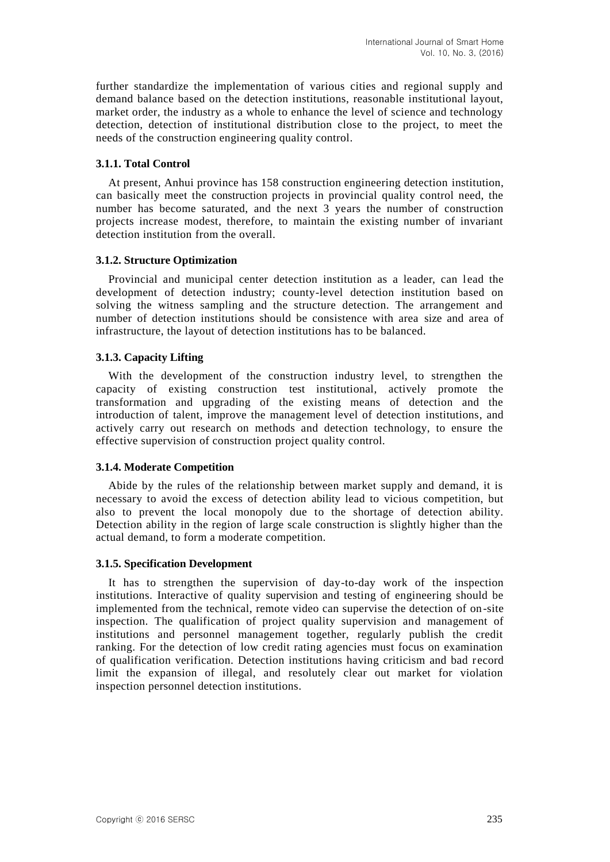further standardize the implementation of various cities and regional supply and demand balance based on the detection institutions, reasonable institutional layout, market order, the industry as a whole to enhance the level of science and technology detection, detection of institutional distribution close to the project, to meet the needs of the construction engineering quality control.

#### **3.1.1. Total Control**

At present, Anhui province has 158 construction engineering detection institution, can basically meet the construction projects in provincial quality control need, the number has become saturated, and the next 3 years the number of construction projects increase modest, therefore, to maintain the existing number of invariant detection institution from the overall.

#### **3.1.2. Structure Optimization**

Provincial and municipal center detection institution as a leader, can lead the development of detection industry; county-level detection institution based on solving the witness sampling and the structure detection. The arrangement and number of detection institutions should be consistence with area size and area of infrastructure, the layout of detection institutions has to be balanced.

#### **3.1.3. Capacity Lifting**

With the development of the construction industry level, to strengthen the capacity of existing construction test institutional, actively promote the transformation and upgrading of the existing means of detection and the introduction of talent, improve the management level of detection institutions, and actively carry out research on methods and detection technology, to ensure the effective supervision of construction project quality control.

#### **3.1.4. Moderate Competition**

Abide by the rules of the relationship between market supply and demand, it is necessary to avoid the excess of detection ability lead to vicious competition, but also to prevent the local monopoly due to the shortage of detection ability. Detection ability in the region of large scale construction is slightly higher than the actual demand, to form a moderate competition.

#### **3.1.5. Specification Development**

It has to strengthen the supervision of day-to-day work of the inspection institutions. Interactive of quality supervision and testing of engineering should be implemented from the technical, remote video can supervise the detection of on -site inspection. The qualification of project quality supervision and management of institutions and personnel management together, regularly publish the credit ranking. For the detection of low credit rating agencies must focus on examination of qualification verification. Detection institutions having criticism and bad r ecord limit the expansion of illegal, and resolutely clear out market for violation inspection personnel detection institutions.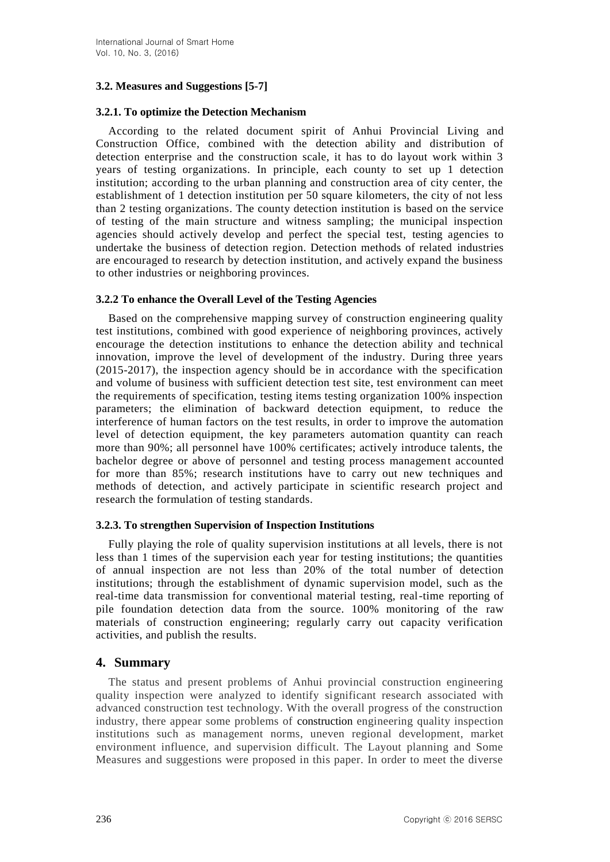# **3.2. Measures and Suggestions [5-7]**

# **3.2.1. To optimize the Detection Mechanism**

According to the related document spirit of Anhui Provincial Living and Construction Office, combined with the detection ability and distribution of detection enterprise and the construction scale, it has to do layout work within 3 years of testing organizations. In principle, each county to set up 1 detection institution; according to the urban planning and construction area of city center, the establishment of 1 detection institution per 50 square kilometers, the city of not less than 2 testing organizations. The county detection institution is based on the service of testing of the main structure and witness sampling; the municipal inspection agencies should actively develop and perfect the special test, testing agencies to undertake the business of detection region. Detection methods of related industries are encouraged to research by detection institution, and actively expand the business to other industries or neighboring provinces.

## **3.2.2 To enhance the Overall Level of the Testing Agencies**

Based on the comprehensive mapping survey of construction engineering quality test institutions, combined with good experience of neighboring provinces, actively encourage the detection institutions to enhance the detection ability and technical innovation, improve the level of development of the industry. During three years (2015-2017), the inspection agency should be in accordance with the specification and volume of business with sufficient detection test site, test environment can meet the requirements of specification, testing items testing organization 100% inspection parameters; the elimination of backward detection equipment, to reduce the interference of human factors on the test results, in order to improve the automation level of detection equipment, the key parameters automation quantity can reach more than 90%; all personnel have 100% certificates; actively introduce talents, the bachelor degree or above of personnel and testing process management accounted for more than 85%; research institutions have to carry out new techniques and methods of detection, and actively participate in scientific research project and research the formulation of testing standards.

#### **3.2.3. To strengthen Supervision of Inspection Institutions**

Fully playing the role of quality supervision institutions at all levels, there is not less than 1 times of the supervision each year for testing institutions; the quantities of annual inspection are not less than 20% of the total number of detection institutions; through the establishment of dynamic supervision model, such as the real-time data transmission for conventional material testing, real-time reporting of pile foundation detection data from the source. 100% monitoring of the raw materials of construction engineering; regularly carry out capacity verification activities, and publish the results.

# **4. Summary**

The status and present problems of Anhui provincial construction engineering quality inspection were analyzed to identify significant research associated with advanced construction test technology. With the overall progress of the construction industry, there appear some problems of construction engineering quality inspection institutions such as management norms, uneven regional development, market environment influence, and supervision difficult. The Layout planning and Some Measures and suggestions were proposed in this paper. In order to meet the diverse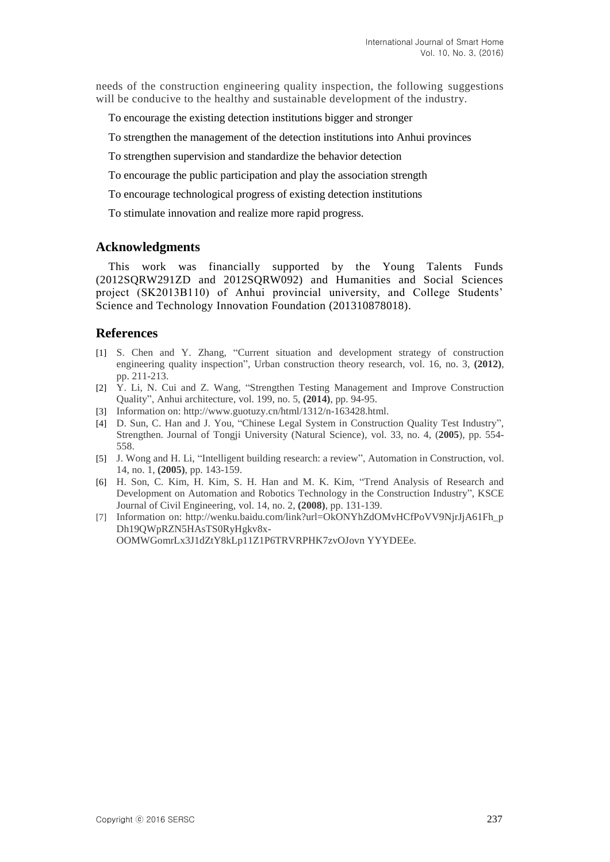needs of the construction engineering quality inspection, the following suggestions will be conducive to the healthy and sustainable development of the industry.

To encourage the existing detection institutions bigger and stronger

To strengthen the management of the detection institutions into Anhui provinces

To strengthen supervision and standardize the behavior detection

To encourage the public participation and play the association strength

To encourage technological progress of existing detection institutions

To stimulate innovation and realize more rapid progress.

## **Acknowledgments**

This work was financially supported by the Young Talents Funds (2012SQRW291ZD and 2012SQRW092) and Humanities and Social Sciences project (SK2013B110) of Anhui provincial university, and College Students' Science and Technology Innovation Foundation (201310878018).

# **References**

- [1] S. Chen and Y. Zhang, "Current situation and development strategy of construction engineering quality inspection", Urban construction theory research, vol. 16, no. 3, **(2012)**, pp. 211-213.
- [2] Y. Li, N. Cui and Z. Wang, "Strengthen Testing Management and Improve Construction Quality", Anhui architecture, vol. 199, no. 5, **(2014)**, pp. 94-95.
- [3] Information on: http://www.guotuzy.cn/html/1312/n-163428.html.
- [4] D. Sun, C. Han and J. You, "Chinese Legal System in Construction Quality Test Industry", Strengthen. Journal of Tongji University (Natural Science), vol. 33, no. 4, (**2005**), pp. 554- 558.
- [5] J. Wong and H. Li, "Intelligent building research: a review", Automation in Construction, vol. 14, no. 1, **(2005)**, pp. 143-159.
- [6] H. Son, C. Kim, H. Kim, S. H. Han and M. K. Kim, "Trend Analysis of Research and Development on Automation and Robotics Technology in the Construction Industry", KSCE Journal of Civil Engineering, vol. 14, no. 2, **(2008)**, pp. 131-139.
- [7] Information on: http://wenku.baidu.com/link?url=OkONYhZdOMvHCfPoVV9NjrJjA61Fh\_p Dh19QWpRZN5HAsTS0RyHgkv8x-OOMWGomrLx3J1dZtY8kLp11Z1P6TRVRPHK7zvOJovn YYYDEEe.